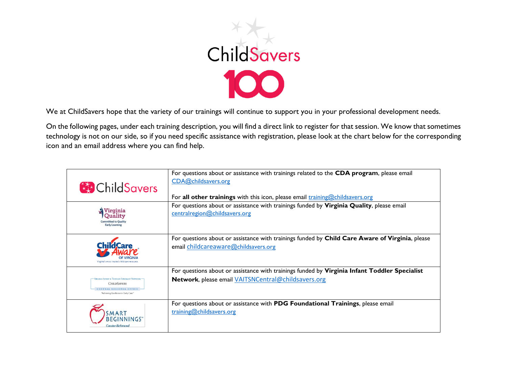

We at ChildSavers hope that the variety of our trainings will continue to support you in your professional development needs.

On the following pages, under each training description, you will find a direct link to register for that session. We know that sometimes technology is not on our side, so if you need specific assistance with registration, please look at the chart below for the corresponding icon and an email address where you can find help.

| <b>B</b> Child Savers                                                                                                                   | For questions about or assistance with trainings related to the CDA program, please email<br>CDA@childsavers.org<br>For all other trainings with this icon, please email training@childsavers.org |
|-----------------------------------------------------------------------------------------------------------------------------------------|---------------------------------------------------------------------------------------------------------------------------------------------------------------------------------------------------|
| <u>Nirginia</u><br>Ouality<br><b>Committed to Quality</b><br><b>Early Learning</b>                                                      | For questions about or assistance with trainings funded by Virginia Quality, please email<br>centralregion@childsavers.org                                                                        |
| Virginia's most trusted child care resourc                                                                                              | For questions about or assistance with trainings funded by Child Care Aware of Virginia, please<br>email childcareaware@childsavers.org                                                           |
| -VIRGINIA INFANT & TODDLER SPECIALIST NETWORK:<br><b>CHILDSAVERS</b><br>CENTRAL REGIONAL OFFICE<br>"Achieving Excellence in Early Care" | For questions about or assistance with trainings funded by Virginia Infant Toddler Specialist<br>Network, please email VAITSNCentral@childsavers.org                                              |
| Greater Richmor                                                                                                                         | For questions about or assistance with PDG Foundational Trainings, please email<br>training@childsavers.org                                                                                       |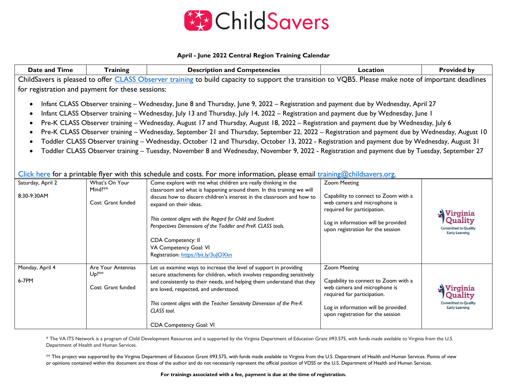

## **April - June 2022 Central Region Training Calendar**

| Date and Time                                                                                                                                                                                                                                                                                                                                                                                                                                                                                                                                                                                                                                                                                                                                                                                                                                                                                                                                                                                                                    | Training                                                      | <b>Description and Competencies</b>                                                                                                                                                                                                                                                                                                                                                                                                                             | Location                                                                                                                                                                                               | <b>Provided by</b>                                                          |
|----------------------------------------------------------------------------------------------------------------------------------------------------------------------------------------------------------------------------------------------------------------------------------------------------------------------------------------------------------------------------------------------------------------------------------------------------------------------------------------------------------------------------------------------------------------------------------------------------------------------------------------------------------------------------------------------------------------------------------------------------------------------------------------------------------------------------------------------------------------------------------------------------------------------------------------------------------------------------------------------------------------------------------|---------------------------------------------------------------|-----------------------------------------------------------------------------------------------------------------------------------------------------------------------------------------------------------------------------------------------------------------------------------------------------------------------------------------------------------------------------------------------------------------------------------------------------------------|--------------------------------------------------------------------------------------------------------------------------------------------------------------------------------------------------------|-----------------------------------------------------------------------------|
| ChildSavers is pleased to offer CLASS Observer training to build capacity to support the transition to VQB5. Please make note of important deadlines<br>for registration and payment for these sessions:                                                                                                                                                                                                                                                                                                                                                                                                                                                                                                                                                                                                                                                                                                                                                                                                                         |                                                               |                                                                                                                                                                                                                                                                                                                                                                                                                                                                 |                                                                                                                                                                                                        |                                                                             |
| Infant CLASS Observer training - Wednesday, June 8 and Thursday, June 9, 2022 - Registration and payment due by Wednesday, April 27<br>$\bullet$<br>Infant CLASS Observer training - Wednesday, July 13 and Thursday, July 14, 2022 - Registration and payment due by Wednesday, June 1<br>٠<br>Pre-K CLASS Observer training - Wednesday, August 17 and Thursday, August 18, 2022 - Registration and payment due by Wednesday, July 6<br>Pre-K CLASS Observer training - Wednesday, September 21 and Thursday, September 22, 2022 - Registration and payment due by Wednesday, August 10<br>Toddler CLASS Observer training - Wednesday, October 12 and Thursday, October 13, 2022 - Registration and payment due by Wednesday, August 31<br>Toddler CLASS Observer training - Tuesday, November 8 and Wednesday, November 9, 2022 - Registration and payment due by Tuesday, September 27<br>Click here for a printable flyer with this schedule and costs. For more information, please email $\frac{trianglechildsavers.org$ |                                                               |                                                                                                                                                                                                                                                                                                                                                                                                                                                                 |                                                                                                                                                                                                        |                                                                             |
| Saturday, April 2<br>8:30-9:30AM                                                                                                                                                                                                                                                                                                                                                                                                                                                                                                                                                                                                                                                                                                                                                                                                                                                                                                                                                                                                 | What's On Your<br>Mind?**<br>Cost: Grant funded               | Come explore with me what children are really thinking in the<br>classroom and what is happening around them. In this training we will<br>discuss how to discern children's interest in the classroom and how to<br>expand on their ideas.<br>This content aligns with the Regard for Child and Student<br>Perspectives Dimensions of the Toddler and PreK CLASS tools.<br>CDA Competency: II<br>VA Competency Goal: VI<br>Registration: https://bit.ly/3uJOXkn | <b>Zoom Meeting</b><br>Capability to connect to Zoom with a<br>web camera and microphone is<br>required for participation.<br>Log in information will be provided<br>upon registration for the session | V irginia<br>nmitted to Quality<br><b>Early Learning</b>                    |
| Monday, April 4<br>6-7PM                                                                                                                                                                                                                                                                                                                                                                                                                                                                                                                                                                                                                                                                                                                                                                                                                                                                                                                                                                                                         | Are Your Antennas<br>$Up$ <sup>**</sup><br>Cost: Grant funded | Let us examine ways to increase the level of support in providing<br>secure attachments for children, which involves responding sensitively<br>and consistently to their needs, and helping them understand that they<br>are loved, respected, and understood.<br>This content aligns with the Teacher Sensitivity Dimension of the Pre-K<br>CLASS tool.<br>CDA Competency Goal: VI                                                                             | <b>Zoom Meeting</b><br>Capability to connect to Zoom with a<br>web camera and microphone is<br>required for participation.<br>Log in information will be provided<br>upon registration for the session | Virginia<br>Ouality<br><b>Committed to Quality</b><br><b>Early Learning</b> |

\* The VA ITS Network is a program of Child Development Resources and is supported by the Virginia Department of Education Grant #93.575, with funds made available to Virginia from the U.S. Department of Health and Human Services.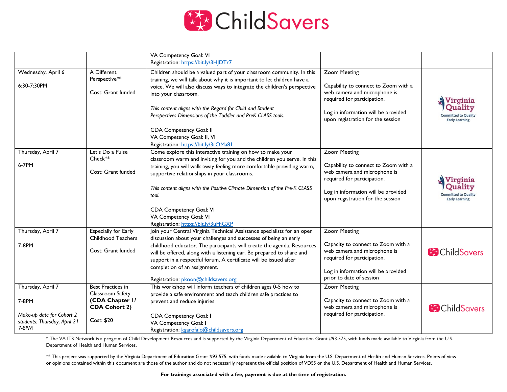

|                              |                             | VA Competency Goal: VI                                                     |                                      |                             |
|------------------------------|-----------------------------|----------------------------------------------------------------------------|--------------------------------------|-----------------------------|
|                              |                             | Registration: https://bit.ly/3HJDTr7                                       |                                      |                             |
|                              |                             |                                                                            |                                      |                             |
| Wednesday, April 6           | A Different                 | Children should be a valued part of your classroom community. In this      | <b>Zoom Meeting</b>                  |                             |
|                              | Perspective**               | training, we will talk about why it is important to let children have a    |                                      |                             |
| 6:30-7:30PM                  |                             | voice. We will also discuss ways to integrate the children's perspective   | Capability to connect to Zoom with a |                             |
|                              | Cost: Grant funded          | into your classroom.                                                       | web camera and microphone is         |                             |
|                              |                             |                                                                            | required for participation.          | Virginia                    |
|                              |                             | This content aligns with the Regard for Child and Student                  |                                      | Quality                     |
|                              |                             | Perspectives Dimensions of the Toddler and PreK CLASS tools.               | Log in information will be provided  | <b>Committed to Quality</b> |
|                              |                             |                                                                            | upon registration for the session    | <b>Early Learning</b>       |
|                              |                             | CDA Competency Goal: II                                                    |                                      |                             |
|                              |                             | VA Competency Goal: II, VI                                                 |                                      |                             |
|                              |                             | Registration: https://bit.ly/3rOMa81                                       |                                      |                             |
| Thursday, April 7            | Let's Do a Pulse            | Come explore this interactive training on how to make your                 | <b>Zoom Meeting</b>                  |                             |
|                              | Check**                     | classroom warm and inviting for you and the children you serve. In this    |                                      |                             |
| 6-7PM                        |                             | training, you will walk away feeling more comfortable providing warm,      | Capability to connect to Zoom with a |                             |
|                              | Cost: Grant funded          | supportive relationships in your classrooms.                               | web camera and microphone is         |                             |
|                              |                             |                                                                            | required for participation.          | Virginia                    |
|                              |                             | This content aligns with the Positive Climate Dimension of the Pre-K CLASS |                                      | Ouality                     |
|                              |                             | tool.                                                                      | Log in information will be provided  | Committed to Quality        |
|                              |                             |                                                                            | upon registration for the session    | <b>Early Learning</b>       |
|                              |                             | CDA Competency Goal: VI                                                    |                                      |                             |
|                              |                             | VA Competency Goal: VI                                                     |                                      |                             |
|                              |                             | Registration: https://bit.ly/3uFhGXP                                       |                                      |                             |
| Thursday, April 7            | <b>Especially for Early</b> | Join your Central Virginia Technical Assistance specialists for an open    | <b>Zoom Meeting</b>                  |                             |
|                              | Childhood Teachers          | discussion about your challenges and successes of being an early           |                                      |                             |
| 7-8PM                        |                             | childhood educator. The participants will create the agenda. Resources     | Capacity to connect to Zoom with a   |                             |
|                              | Cost: Grant funded          | will be offered, along with a listening ear. Be prepared to share and      | web camera and microphone is         | <b>B</b> Child Savers       |
|                              |                             | support in a respectful forum. A certificate will be issued after          | required for participation.          |                             |
|                              |                             | completion of an assignment.                                               |                                      |                             |
|                              |                             |                                                                            | Log in information will be provided  |                             |
|                              |                             | Registration: pkoon@childsavers.org                                        | prior to date of session             |                             |
| Thursday, April 7            | Best Practices in           | This workshop will inform teachers of children ages 0-5 how to             | <b>Zoom Meeting</b>                  |                             |
|                              | Classroom Safety            | provide a safe environment and teach children safe practices to            |                                      |                             |
| 7-8PM                        | (CDA Chapter I/             | prevent and reduce injuries.                                               | Capacity to connect to Zoom with a   |                             |
|                              | <b>CDA Cohort 2)</b>        |                                                                            | web camera and microphone is         | <b>ChildSavers</b>          |
| Make-up date for Cohort 2    |                             | CDA Competency Goal: I                                                     | required for participation.          |                             |
| students: Thursday, April 21 | Cost: \$20                  | VA Competency Goal: I                                                      |                                      |                             |
| 7-8PM                        |                             | Registration: kgarofalo@childsavers.org                                    |                                      |                             |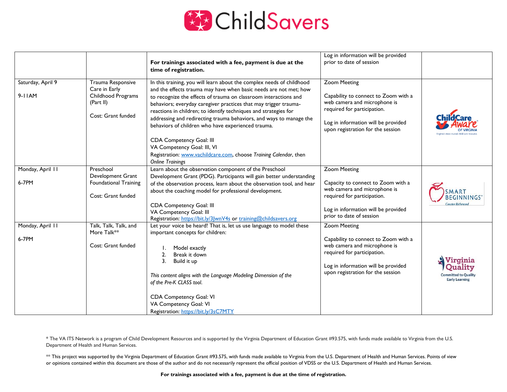

|                                |                                                                                             | For trainings associated with a fee, payment is due at the<br>time of registration.                                                                                                                                                                                                                                                                                                                                                                                                                                                                                                                                                                   | Log in information will be provided<br>prior to date of session                                                                                                                                        |                                                                             |
|--------------------------------|---------------------------------------------------------------------------------------------|-------------------------------------------------------------------------------------------------------------------------------------------------------------------------------------------------------------------------------------------------------------------------------------------------------------------------------------------------------------------------------------------------------------------------------------------------------------------------------------------------------------------------------------------------------------------------------------------------------------------------------------------------------|--------------------------------------------------------------------------------------------------------------------------------------------------------------------------------------------------------|-----------------------------------------------------------------------------|
| Saturday, April 9<br>$9-I IAM$ | Trauma Responsive<br>Care in Early<br>Childhood Programs<br>(Part II)<br>Cost: Grant funded | In this training, you will learn about the complex needs of childhood<br>and the effects trauma may have when basic needs are not met; how<br>to recognize the effects of trauma on classroom interactions and<br>behaviors; everyday caregiver practices that may trigger trauma-<br>reactions in children; to identify techniques and strategies for<br>addressing and redirecting trauma behaviors, and ways to manage the<br>behaviors of children who have experienced trauma.<br><b>CDA Competency Goal: III</b><br>VA Competency Goal: III, VI<br>Registration: www.vachildcare.com, choose Training Calendar, then<br><b>Online Trainings</b> | <b>Zoom Meeting</b><br>Capability to connect to Zoom with a<br>web camera and microphone is<br>required for participation.<br>Log in information will be provided<br>upon registration for the session |                                                                             |
| Monday, April 11<br>6-7PM      | Preschool<br>Development Grant<br><b>Foundational Training</b><br>Cost: Grant funded        | Learn about the observation component of the Preschool<br>Development Grant (PDG). Participants will gain better understanding<br>of the observation process, learn about the observation tool, and hear<br>about the coaching model for professional development.<br><b>CDA Competency Goal: III</b><br>VA Competency Goal: III<br>Registration: https://bit.ly/3 wnV4s or training@childsavers.org                                                                                                                                                                                                                                                  | <b>Zoom Meeting</b><br>Capacity to connect to Zoom with a<br>web camera and microphone is<br>required for participation.<br>Log in information will be provided<br>prior to date of session            | EGINNINGS<br><b>Greater Richmond</b>                                        |
| Monday, April 11<br>6-7PM      | Talk, Talk, Talk, and<br>More Talk**<br>Cost: Grant funded                                  | Let your voice be heard! That is, let us use language to model these<br>important concepts for children:<br>Model exactly<br>2.<br>Break it down<br>3.<br>Build it up<br>This content aligns with the Language Modeling Dimension of the<br>of the Pre-K CLASS tool.<br>CDA Competency Goal: VI<br>VA Competency Goal: VI<br>Registration: https://bit.ly/3sC7MTY                                                                                                                                                                                                                                                                                     | <b>Zoom Meeting</b><br>Capability to connect to Zoom with a<br>web camera and microphone is<br>required for participation.<br>Log in information will be provided<br>upon registration for the session | Virginia<br>Ouality<br><b>Committed to Quality</b><br><b>Early Learning</b> |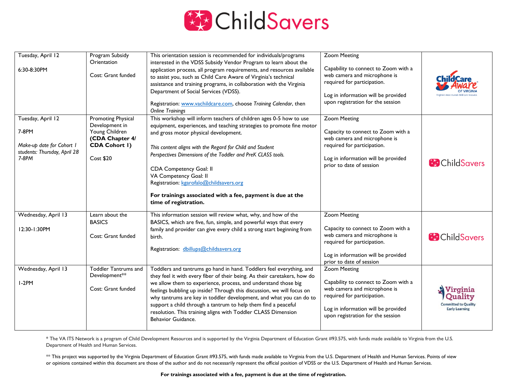

| Tuesday, April 12<br>6:30-8:30PM                                                                 | Program Subsidy<br>Orientation<br>Cost: Grant funded                                                           | This orientation session is recommended for individuals/programs<br>interested in the VDSS Subsidy Vendor Program to learn about the<br>application process, all program requirements, and resources available<br>to assist you, such as Child Care Aware of Virginia's technical<br>assistance and training programs, in collaboration with the Virginia<br>Department of Social Services (VDSS).<br>Registration: www.vachildcare.com, choose Training Calendar, then<br><b>Online Trainings</b>                                   | <b>Zoom Meeting</b><br>Capability to connect to Zoom with a<br>web camera and microphone is<br>required for participation.<br>Log in information will be provided<br>upon registration for the session |                                                     |
|--------------------------------------------------------------------------------------------------|----------------------------------------------------------------------------------------------------------------|--------------------------------------------------------------------------------------------------------------------------------------------------------------------------------------------------------------------------------------------------------------------------------------------------------------------------------------------------------------------------------------------------------------------------------------------------------------------------------------------------------------------------------------|--------------------------------------------------------------------------------------------------------------------------------------------------------------------------------------------------------|-----------------------------------------------------|
| Tuesday, April 12<br>7-8PM<br>Make-up date for Cohort I<br>students: Thursday, April 28<br>7-8PM | Promoting Physical<br>Development in<br>Young Children<br>(CDA Chapter 4/<br><b>CDA Cohort I)</b><br>Cost \$20 | This workshop will inform teachers of children ages 0-5 how to use<br>equipment, experiences, and teaching strategies to promote fine motor<br>and gross motor physical development.<br>This content aligns with the Regard for Child and Student<br>Perspectives Dimensions of the Toddler and PreK CLASS tools.<br>CDA Competency Goal: II<br>VA Competency Goal: II<br>Registration: kgarofalo@childsavers.org<br>For trainings associated with a fee, payment is due at the<br>time of registration.                             | <b>Zoom Meeting</b><br>Capacity to connect to Zoom with a<br>web camera and microphone is<br>required for participation.<br>Log in information will be provided<br>prior to date of session            | <b>ChildSavers</b>                                  |
| Wednesday, April 13<br>12:30-1:30PM                                                              | Learn about the<br><b>BASICS</b><br>Cost: Grant funded                                                         | This information session will review what, why, and how of the<br>BASICS, which are five, fun, simple, and powerful ways that every<br>family and provider can give every child a strong start beginning from<br>birth.<br>Registration: dbillups@childsavers.org                                                                                                                                                                                                                                                                    | <b>Zoom Meeting</b><br>Capacity to connect to Zoom with a<br>web camera and microphone is<br>required for participation.<br>Log in information will be provided<br>prior to date of session            | <b>B</b> Child Savers                               |
| Wednesday, April 13<br>$I-2PM$                                                                   | <b>Toddler Tantrums and</b><br>Development**<br>Cost: Grant funded                                             | Toddlers and tantrums go hand in hand. Toddlers feel everything, and<br>they feel it with every fiber of their being. As their caretakers, how do<br>we allow them to experience, process, and understand those big<br>feelings bubbling up inside? Through this discussion, we will focus on<br>why tantrums are key in toddler development, and what you can do to<br>support a child through a tantrum to help them find a peaceful<br>resolution. This training aligns with Toddler CLASS Dimension<br><b>Behavior Guidance.</b> | <b>Zoom Meeting</b><br>Capability to connect to Zoom with a<br>web camera and microphone is<br>required for participation.<br>Log in information will be provided<br>upon registration for the session | Virginia<br>tted to Qualit<br><b>Early Learning</b> |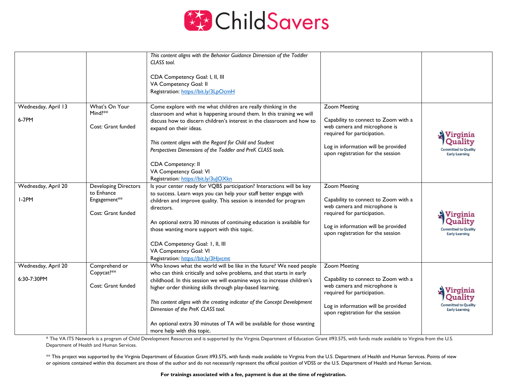

|                                    |                                                                                 | This content aligns with the Behavior Guidance Dimension of the Toddler<br>CLASS tool.<br>CDA Competency Goal: I, II, III<br>VA Competency Goal: II<br>Registration: https://bit.ly/3LpOcmH                                                                                                                                                                                                                                                                                                                    |                                                                                                                                                                                                        |                                                                             |
|------------------------------------|---------------------------------------------------------------------------------|----------------------------------------------------------------------------------------------------------------------------------------------------------------------------------------------------------------------------------------------------------------------------------------------------------------------------------------------------------------------------------------------------------------------------------------------------------------------------------------------------------------|--------------------------------------------------------------------------------------------------------------------------------------------------------------------------------------------------------|-----------------------------------------------------------------------------|
| Wednesday, April 13<br>6-7PM       | What's On Your<br>Mind? $**$<br>Cost: Grant funded                              | Come explore with me what children are really thinking in the<br>classroom and what is happening around them. In this training we will<br>discuss how to discern children's interest in the classroom and how to<br>expand on their ideas.<br>This content aligns with the Regard for Child and Student<br>Perspectives Dimensions of the Toddler and PreK CLASS tools.<br>CDA Competency: II<br>VA Competency Goal: VI<br>Registration: https://bit.ly/3uJOXkn                                                | <b>Zoom Meeting</b><br>Capability to connect to Zoom with a<br>web camera and microphone is<br>required for participation.<br>Log in information will be provided<br>upon registration for the session | Virginia<br><b>Committed to Quality</b><br><b>Early Learning</b>            |
| Wednesday, April 20<br>$I-2PM$     | <b>Developing Directors</b><br>to Enhance<br>Engagement**<br>Cost: Grant funded | Is your center ready for VQB5 participation? Interactions will be key<br>to success. Learn ways you can help your staff better engage with<br>children and improve quality. This session is intended for program<br>directors.<br>An optional extra 30 minutes of continuing education is available for<br>those wanting more support with this topic.<br>CDA Competency Goal: I, II, III<br>VA Competency Goal: VI<br>Registration: https://bit.ly/3Hjvcmt                                                    | <b>Zoom Meeting</b><br>Capability to connect to Zoom with a<br>web camera and microphone is<br>required for participation.<br>Log in information will be provided<br>upon registration for the session | Virginia<br>Quality<br><b>Committed to Quality</b><br><b>Early Learning</b> |
| Wednesday, April 20<br>6:30-7:30PM | Comprehend or<br>Copycat?**<br>Cost: Grant funded                               | Who knows what the world will be like in the future? We need people<br>who can think critically and solve problems, and that starts in early<br>childhood. In this session we will examine ways to increase children's<br>higher order thinking skills through play-based learning.<br>This content aligns with the creating indicator of the Concept Development<br>Dimension of the PreK CLASS tool.<br>An optional extra 30 minutes of TA will be available for those wanting<br>more help with this topic. | <b>Zoom Meeting</b><br>Capability to connect to Zoom with a<br>web camera and microphone is<br>required for participation.<br>Log in information will be provided<br>upon registration for the session | Virginia<br>Quality<br><b>Committed to Quality</b><br><b>Early Learning</b> |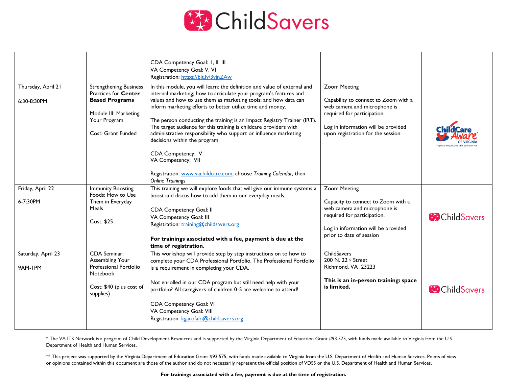

|                                   |                                                                                                                                               | CDA Competency Goal: I, II, III<br>VA Competency Goal: V, VI<br>Registration: https://bit.ly/3vjnZAw                                                                                                                                                                                                                                                                                                                                                                                                                                                                           |                                                                                                                                                                                                        |                       |
|-----------------------------------|-----------------------------------------------------------------------------------------------------------------------------------------------|--------------------------------------------------------------------------------------------------------------------------------------------------------------------------------------------------------------------------------------------------------------------------------------------------------------------------------------------------------------------------------------------------------------------------------------------------------------------------------------------------------------------------------------------------------------------------------|--------------------------------------------------------------------------------------------------------------------------------------------------------------------------------------------------------|-----------------------|
| Thursday, April 21<br>6:30-8:30PM | <b>Strengthening Business</b><br>Practices for Center<br><b>Based Programs</b><br>Module III: Marketing<br>Your Program<br>Cost: Grant Funded | In this module, you will learn: the definition and value of external and<br>internal marketing; how to articulate your program's features and<br>values and how to use them as marketing tools; and how data can<br>inform marketing efforts to better utilize time and money.<br>The person conducting the training is an Impact Registry Trainer (IRT).<br>The target audience for this training is childcare providers with<br>administrative responsibility who support or influence marketing<br>decisions within the program.<br>CDA Competency: V<br>VA Competency: VII | <b>Zoom Meeting</b><br>Capability to connect to Zoom with a<br>web camera and microphone is<br>required for participation.<br>Log in information will be provided<br>upon registration for the session |                       |
|                                   |                                                                                                                                               | Registration: www.vachildcare.com, choose Training Calendar, then<br><b>Online Trainings</b>                                                                                                                                                                                                                                                                                                                                                                                                                                                                                   |                                                                                                                                                                                                        |                       |
| Friday, April 22<br>6-7:30PM      | <b>Immunity Boosting</b><br>Foods: How to Use<br>Them in Everyday<br>Meals<br>Cost: \$25                                                      | This training we will explore foods that will give our immune systems a<br>boost and discus how to add them in our everyday meals.<br><b>CDA Competency Goal: II</b><br>VA Competency Goal: III<br>Registration: training@childsavers.org<br>For trainings associated with a fee, payment is due at the<br>time of registration.                                                                                                                                                                                                                                               | <b>Zoom Meeting</b><br>Capacity to connect to Zoom with a<br>web camera and microphone is<br>required for participation.<br>Log in information will be provided<br>prior to date of session            | <b>B</b> Child Savers |
| Saturday, April 23<br>9AM-IPM     | CDA Seminar:<br>Assembling Your<br>Professional Portfolio<br>Notebook<br>Cost: \$40 (plus cost of<br>supplies)                                | This workshop will provide step by step instructions on to how to<br>complete your CDA Professional Portfolio. The Professional Portfolio<br>is a requirement in completing your CDA.<br>Not enrolled in our CDA program but still need help with your<br>portfolio? All caregivers of children 0-5 are welcome to attend!<br><b>CDA Competency Goal: VI</b><br>VA Competency Goal: VIII<br>Registration: kgarofalo@childsavers.org                                                                                                                                            | ChildSavers<br>200 N. 22nd Street<br>Richmond, VA 23223<br>This is an in-person training: space<br>is limited.                                                                                         | <b>B</b> Child Savers |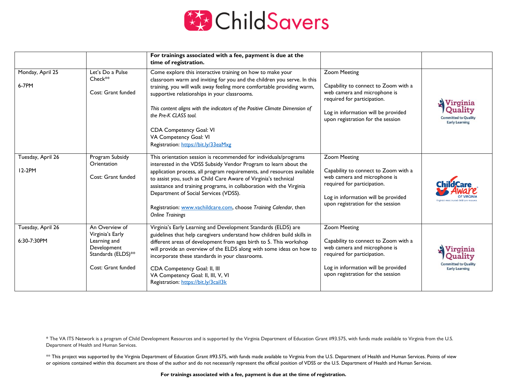

|                                  |                                                                                                               | For trainings associated with a fee, payment is due at the<br>time of registration.                                                                                                                                                                                                                                                                                                                                                                                                                |                                                                                                                                                                                                        |                                                                            |
|----------------------------------|---------------------------------------------------------------------------------------------------------------|----------------------------------------------------------------------------------------------------------------------------------------------------------------------------------------------------------------------------------------------------------------------------------------------------------------------------------------------------------------------------------------------------------------------------------------------------------------------------------------------------|--------------------------------------------------------------------------------------------------------------------------------------------------------------------------------------------------------|----------------------------------------------------------------------------|
| Monday, April 25<br>6-7PM        | Let's Do a Pulse<br>$Check**$<br>Cost: Grant funded                                                           | Come explore this interactive training on how to make your<br>classroom warm and inviting for you and the children you serve. In this<br>training, you will walk away feeling more comfortable providing warm,<br>supportive relationships in your classrooms.<br>This content aligns with the indicators of the Positive Climate Dimension of<br>the Pre-K CLASS tool.<br>CDA Competency Goal: VI<br>VA Competency Goal: VI<br>Registration: https://bit.ly/33eaMxg                               | <b>Zoom Meeting</b><br>Capability to connect to Zoom with a<br>web camera and microphone is<br>required for participation.<br>Log in information will be provided<br>upon registration for the session | Virginia<br><b>Duality</b><br>ommitted to Quality<br><b>Early Learning</b> |
| Tuesday, April 26<br>12-2PM      | Program Subsidy<br>Orientation<br>Cost: Grant funded                                                          | This orientation session is recommended for individuals/programs<br>interested in the VDSS Subsidy Vendor Program to learn about the<br>application process, all program requirements, and resources available<br>to assist you, such as Child Care Aware of Virginia's technical<br>assistance and training programs, in collaboration with the Virginia<br>Department of Social Services (VDSS).<br>Registration: www.vachildcare.com, choose Training Calendar, then<br><b>Online Trainings</b> | <b>Zoom Meeting</b><br>Capability to connect to Zoom with a<br>web camera and microphone is<br>required for participation.<br>Log in information will be provided<br>upon registration for the session |                                                                            |
| Tuesday, April 26<br>6:30-7:30PM | An Overview of<br>Virginia's Early<br>Learning and<br>Development<br>Standards (ELDS)**<br>Cost: Grant funded | Virginia's Early Learning and Development Standards (ELDS) are<br>guidelines that help caregivers understand how children build skills in<br>different areas of development from ages birth to 5. This workshop<br>will provide an overview of the ELDS along with some ideas on how to<br>incorporate these standards in your classrooms.<br>CDA Competency Goal: II, III<br>VA Competency Goal: II, III, V, VI<br>Registration: https://bit.ly/3cail3k                                           | <b>Zoom Meeting</b><br>Capability to connect to Zoom with a<br>web camera and microphone is<br>required for participation.<br>Log in information will be provided<br>upon registration for the session | V irginia<br>mitted to Quality<br><b>Early Learning</b>                    |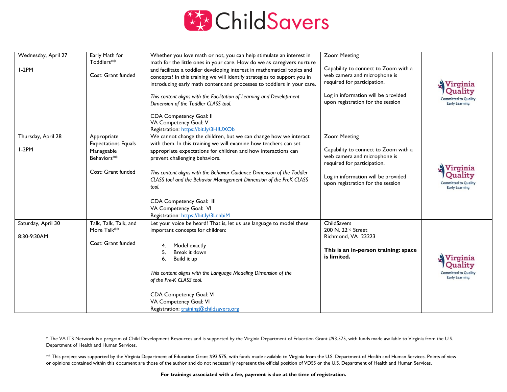

| Wednesday, April 27 | Early Math for             | Whether you love math or not, you can help stimulate an interest in                                                                           | <b>Zoom Meeting</b>                                                  |                                                      |
|---------------------|----------------------------|-----------------------------------------------------------------------------------------------------------------------------------------------|----------------------------------------------------------------------|------------------------------------------------------|
|                     | Toddlers**                 | math for the little ones in your care. How do we as caregivers nurture                                                                        |                                                                      |                                                      |
| $I-2PM$             | Cost: Grant funded         | and facilitate a toddler developing interest in mathematical topics and                                                                       | Capability to connect to Zoom with a<br>web camera and microphone is |                                                      |
|                     |                            | concepts? In this training we will identify strategies to support you in                                                                      | required for participation.                                          |                                                      |
|                     |                            | introducing early math content and processes to toddlers in your care.                                                                        |                                                                      | Virginia                                             |
|                     |                            | This content aligns with the Facilitation of Learning and Development                                                                         | Log in information will be provided                                  | Quality                                              |
|                     |                            | Dimension of the Toddler CLASS tool.                                                                                                          | upon registration for the session                                    | <b>Committed to Quality</b><br><b>Early Learning</b> |
|                     |                            |                                                                                                                                               |                                                                      |                                                      |
|                     |                            | <b>CDA Competency Goal: II</b>                                                                                                                |                                                                      |                                                      |
|                     |                            | VA Competency Goal: V                                                                                                                         |                                                                      |                                                      |
|                     |                            | Registration: https://bit.ly/3HIUXOb                                                                                                          |                                                                      |                                                      |
| Thursday, April 28  | Appropriate                | We cannot change the children, but we can change how we interact                                                                              | <b>Zoom Meeting</b>                                                  |                                                      |
| $I-2PM$             | <b>Expectations Equals</b> | with them. In this training we will examine how teachers can set                                                                              | Capability to connect to Zoom with a                                 |                                                      |
|                     | Manageable<br>Behaviors**  | appropriate expectations for children and how interactions can                                                                                | web camera and microphone is                                         |                                                      |
|                     |                            | prevent challenging behaviors.                                                                                                                | required for participation.                                          |                                                      |
|                     | Cost: Grant funded         |                                                                                                                                               |                                                                      | Virginia                                             |
|                     |                            | This content aligns with the Behavior Guidance Dimension of the Toddler<br>CLASS tool and the Behavior Management Dimension of the PreK CLASS | Log in information will be provided                                  | Quality                                              |
|                     |                            | tool.                                                                                                                                         | upon registration for the session                                    | <b>Committed to Quality</b><br><b>Early Learning</b> |
|                     |                            |                                                                                                                                               |                                                                      |                                                      |
|                     |                            | CDA Competency Goal: III                                                                                                                      |                                                                      |                                                      |
|                     |                            | VA Competency Goal: VI                                                                                                                        |                                                                      |                                                      |
|                     |                            | Registration: https://bit.ly/3LrnbiM                                                                                                          |                                                                      |                                                      |
| Saturday, April 30  | Talk, Talk, Talk, and      | Let your voice be heard! That is, let us use language to model these                                                                          | ChildSavers                                                          |                                                      |
|                     | More Talk**                | important concepts for children:                                                                                                              | 200 N. 22nd Street                                                   |                                                      |
| 8:30-9:30AM         |                            |                                                                                                                                               | Richmond, VA 23223                                                   |                                                      |
|                     | Cost: Grant funded         | Model exactly                                                                                                                                 |                                                                      |                                                      |
|                     |                            | Break it down<br>5.                                                                                                                           | This is an in-person training: space                                 |                                                      |
|                     |                            | 6.<br>Build it up                                                                                                                             | is limited.                                                          | Virginia                                             |
|                     |                            |                                                                                                                                               |                                                                      | Quality                                              |
|                     |                            | This content aligns with the Language Modeling Dimension of the                                                                               |                                                                      | <b>Committed to Quality</b>                          |
|                     |                            | of the Pre-K CLASS tool.                                                                                                                      |                                                                      | <b>Early Learning</b>                                |
|                     |                            |                                                                                                                                               |                                                                      |                                                      |
|                     |                            | CDA Competency Goal: VI                                                                                                                       |                                                                      |                                                      |
|                     |                            | VA Competency Goal: VI                                                                                                                        |                                                                      |                                                      |
|                     |                            | Registration: training@childsavers.org                                                                                                        |                                                                      |                                                      |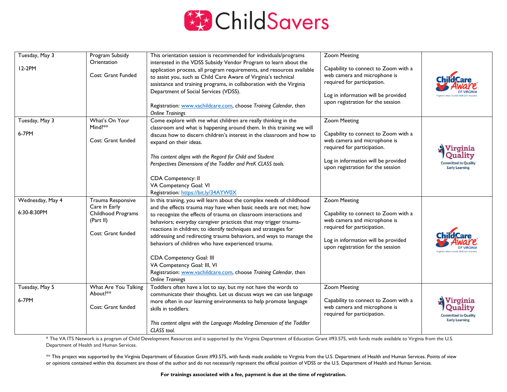

| Tuesday, May 3   | Program Subsidy                   | This orientation session is recommended for individuals/programs                                                                                                                                                                                                                      | <b>Zoom Meeting</b>                                                                                 |                                                                 |
|------------------|-----------------------------------|---------------------------------------------------------------------------------------------------------------------------------------------------------------------------------------------------------------------------------------------------------------------------------------|-----------------------------------------------------------------------------------------------------|-----------------------------------------------------------------|
| 12-2PM           | Orientation<br>Cost: Grant Funded | interested in the VDSS Subsidy Vendor Program to learn about the<br>application process, all program requirements, and resources available<br>to assist you, such as Child Care Aware of Virginia's technical<br>assistance and training programs, in collaboration with the Virginia | Capability to connect to Zoom with a<br>web camera and microphone is<br>required for participation. |                                                                 |
|                  |                                   | Department of Social Services (VDSS).                                                                                                                                                                                                                                                 | Log in information will be provided                                                                 |                                                                 |
|                  |                                   | Registration: www.vachildcare.com, choose Training Calendar, then<br><b>Online Trainings</b>                                                                                                                                                                                          | upon registration for the session                                                                   |                                                                 |
| Tuesday, May 3   | What's On Your                    | Come explore with me what children are really thinking in the                                                                                                                                                                                                                         | <b>Zoom Meeting</b>                                                                                 |                                                                 |
| 6-7PM            | Mind?**                           | classroom and what is happening around them. In this training we will                                                                                                                                                                                                                 |                                                                                                     |                                                                 |
|                  | Cost: Grant funded                | discuss how to discern children's interest in the classroom and how to<br>expand on their ideas.                                                                                                                                                                                      | Capability to connect to Zoom with a<br>web camera and microphone is<br>required for participation. | Virginia                                                        |
|                  |                                   | This content aligns with the Regard for Child and Student<br>Perspectives Dimensions of the Toddler and PreK CLASS tools.                                                                                                                                                             | Log in information will be provided<br>upon registration for the session                            | Quality<br><b>Committed to Quality</b><br><b>Early Learning</b> |
|                  |                                   | CDA Competency: II                                                                                                                                                                                                                                                                    |                                                                                                     |                                                                 |
|                  |                                   | VA Competency Goal: VI                                                                                                                                                                                                                                                                |                                                                                                     |                                                                 |
|                  |                                   | Registration: https://bit.ly/34AYW0X                                                                                                                                                                                                                                                  |                                                                                                     |                                                                 |
| Wednesday, May 4 | Trauma Responsive                 | In this training, you will learn about the complex needs of childhood                                                                                                                                                                                                                 | <b>Zoom Meeting</b>                                                                                 |                                                                 |
| 6:30-8:30PM      | Care in Early                     | and the effects trauma may have when basic needs are not met; how                                                                                                                                                                                                                     |                                                                                                     |                                                                 |
|                  | Childhood Programs<br>(Part II)   | to recognize the effects of trauma on classroom interactions and                                                                                                                                                                                                                      | Capability to connect to Zoom with a<br>web camera and microphone is                                |                                                                 |
|                  |                                   | behaviors; everyday caregiver practices that may trigger trauma-<br>reactions in children; to identify techniques and strategies for                                                                                                                                                  | required for participation.                                                                         |                                                                 |
|                  | Cost: Grant funded                | addressing and redirecting trauma behaviors, and ways to manage the                                                                                                                                                                                                                   |                                                                                                     |                                                                 |
|                  |                                   | behaviors of children who have experienced trauma.                                                                                                                                                                                                                                    | Log in information will be provided<br>upon registration for the session                            |                                                                 |
|                  |                                   | <b>CDA Competency Goal: III</b>                                                                                                                                                                                                                                                       |                                                                                                     |                                                                 |
|                  |                                   | VA Competency Goal: III, VI                                                                                                                                                                                                                                                           |                                                                                                     |                                                                 |
|                  |                                   | Registration: www.vachildcare.com, choose Training Calendar, then                                                                                                                                                                                                                     |                                                                                                     |                                                                 |
|                  |                                   | <b>Online Trainings</b>                                                                                                                                                                                                                                                               |                                                                                                     |                                                                 |
| Tuesday, May 5   | What Are You Talking              | Toddlers often have a lot to say, but my not have the words to                                                                                                                                                                                                                        | <b>Zoom Meeting</b>                                                                                 |                                                                 |
| 6-7PM            | About?**                          | communicate their thoughts. Let us discuss ways we can use language                                                                                                                                                                                                                   | Capability to connect to Zoom with a                                                                |                                                                 |
|                  | Cost: Grant funded                | more often in our learning environments to help promote language<br>skills in toddlers.                                                                                                                                                                                               | web camera and microphone is<br>required for participation.                                         | Virginia<br>Ouality<br><b>Committed to Quality</b>              |
|                  |                                   | This content aligns with the Language Modeling Dimension of the Toddler<br>CLASS tool.                                                                                                                                                                                                |                                                                                                     | <b>Early Learning</b>                                           |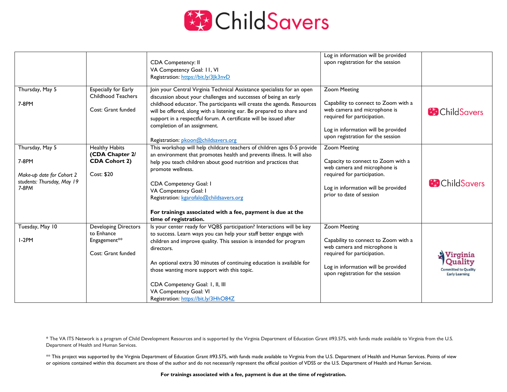

|                                                                                                |                                                                                 | CDA Competency: II<br>VA Competency Goal: II, VI<br>Registration: https://bit.ly/3Jk3nvD                                                                                                                                                                                                                                                                                                                                                                    | Log in information will be provided<br>upon registration for the session                                                                                                                               |                                                                             |
|------------------------------------------------------------------------------------------------|---------------------------------------------------------------------------------|-------------------------------------------------------------------------------------------------------------------------------------------------------------------------------------------------------------------------------------------------------------------------------------------------------------------------------------------------------------------------------------------------------------------------------------------------------------|--------------------------------------------------------------------------------------------------------------------------------------------------------------------------------------------------------|-----------------------------------------------------------------------------|
| Thursday, May 5<br>7-8PM                                                                       | Especially for Early<br>Childhood Teachers<br>Cost: Grant funded                | Join your Central Virginia Technical Assistance specialists for an open<br>discussion about your challenges and successes of being an early<br>childhood educator. The participants will create the agenda. Resources<br>will be offered, along with a listening ear. Be prepared to share and<br>support in a respectful forum. A certificate will be issued after<br>completion of an assignment.<br>Registration: pkoon@childsavers.org                  | <b>Zoom Meeting</b><br>Capability to connect to Zoom with a<br>web camera and microphone is<br>required for participation.<br>Log in information will be provided<br>upon registration for the session | <b>B</b> Child Savers                                                       |
| Thursday, May 5<br>7-8PM<br>Make-up date for Cohort 2<br>students: Thursday, May 19<br>$7-8PM$ | <b>Healthy Habits</b><br>(CDA Chapter 2/<br><b>CDA Cohort 2)</b><br>Cost: \$20  | This workshop will help childcare teachers of children ages 0-5 provide<br>an environment that promotes health and prevents illness. It will also<br>help you teach children about good nutrition and practices that<br>promote wellness.<br>CDA Competency Goal: I<br>VA Competency Goal: I<br>Registration: kgarofalo@childsavers.org<br>For trainings associated with a fee, payment is due at the<br>time of registration.                              | <b>Zoom Meeting</b><br>Capacity to connect to Zoom with a<br>web camera and microphone is<br>required for participation.<br>Log in information will be provided<br>prior to date of session            | <b>B</b> ChildSavers                                                        |
| Tuesday, May 10<br>$I-2PM$                                                                     | <b>Developing Directors</b><br>to Enhance<br>Engagement**<br>Cost: Grant funded | Is your center ready for VQB5 participation? Interactions will be key<br>to success. Learn ways you can help your staff better engage with<br>children and improve quality. This session is intended for program<br>directors.<br>An optional extra 30 minutes of continuing education is available for<br>those wanting more support with this topic.<br>CDA Competency Goal: I, II, III<br>VA Competency Goal: VI<br>Registration: https://bit.ly/3HhO84Z | <b>Zoom Meeting</b><br>Capability to connect to Zoom with a<br>web camera and microphone is<br>required for participation.<br>Log in information will be provided<br>upon registration for the session | Virginia<br>Quality<br><b>Committed to Quality</b><br><b>Early Learning</b> |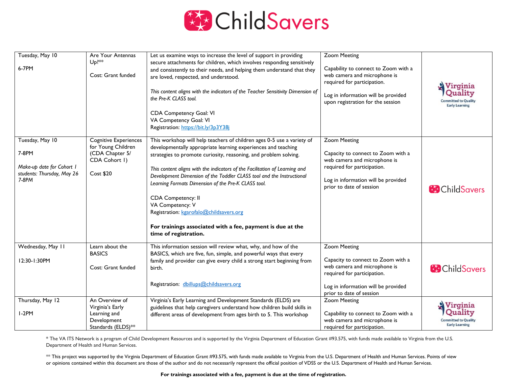

| Tuesday, May 10<br>6-7PM                                                                     | Are Your Antennas<br>$Up$ <sup>**</sup><br>Cost: Grant funded                                       | Let us examine ways to increase the level of support in providing<br>secure attachments for children, which involves responding sensitively<br>and consistently to their needs, and helping them understand that they<br>are loved, respected, and understood.<br>This content aligns with the indicators of the Teacher Sensitivity Dimension of<br>the Pre-K CLASS tool.<br>CDA Competency Goal: VI<br>VA Competency Goal: VI<br>Registration: https://bit.ly/3p3Y38j                                                                                                                                | <b>Zoom Meeting</b><br>Capability to connect to Zoom with a<br>web camera and microphone is<br>required for participation.<br>Log in information will be provided<br>upon registration for the session | Virginia<br>Quality<br><b>Committed to Quality</b><br><b>Early Learning</b> |
|----------------------------------------------------------------------------------------------|-----------------------------------------------------------------------------------------------------|--------------------------------------------------------------------------------------------------------------------------------------------------------------------------------------------------------------------------------------------------------------------------------------------------------------------------------------------------------------------------------------------------------------------------------------------------------------------------------------------------------------------------------------------------------------------------------------------------------|--------------------------------------------------------------------------------------------------------------------------------------------------------------------------------------------------------|-----------------------------------------------------------------------------|
| Tuesday, May 10<br>7-8PM<br>Make-up date for Cohort I<br>students: Thursday, May 26<br>7-8PM | <b>Cognitive Experiences</b><br>for Young Children<br>(CDA Chapter 5/<br>CDA Cohort I)<br>Cost \$20 | This workshop will help teachers of children ages 0-5 use a variety of<br>developmentally appropriate learning experiences and teaching<br>strategies to promote curiosity, reasoning, and problem solving.<br>This content aligns with the indicators of the Facilitation of Learning and<br>Development Dimension of the Toddler CLASS tool and the Instructional<br>Learning Formats Dimension of the Pre-K CLASS tool.<br>CDA Competency: II<br>VA Competency: V<br>Registration: kgarofalo@childsavers.org<br>For trainings associated with a fee, payment is due at the<br>time of registration. | <b>Zoom Meeting</b><br>Capacity to connect to Zoom with a<br>web camera and microphone is<br>required for participation.<br>Log in information will be provided<br>prior to date of session            | <b>ChildSavers</b>                                                          |
| Wednesday, May 11<br>12:30-1:30PM                                                            | Learn about the<br><b>BASICS</b><br>Cost: Grant funded                                              | This information session will review what, why, and how of the<br>BASICS, which are five, fun, simple, and powerful ways that every<br>family and provider can give every child a strong start beginning from<br>birth.<br>Registration: dbillups@childsavers.org                                                                                                                                                                                                                                                                                                                                      | <b>Zoom Meeting</b><br>Capacity to connect to Zoom with a<br>web camera and microphone is<br>required for participation.<br>Log in information will be provided<br>prior to date of session            | <b>ChildSavers</b>                                                          |
| Thursday, May 12<br>$I-2PM$                                                                  | An Overview of<br>Virginia's Early<br>Learning and<br>Development<br>Standards (ELDS)**             | Virginia's Early Learning and Development Standards (ELDS) are<br>guidelines that help caregivers understand how children build skills in<br>different areas of development from ages birth to 5. This workshop                                                                                                                                                                                                                                                                                                                                                                                        | <b>Zoom Meeting</b><br>Capability to connect to Zoom with a<br>web camera and microphone is<br>required for participation.                                                                             | Virginia<br>Ouality<br><b>mitted to Quality</b><br><b>Early Learning</b>    |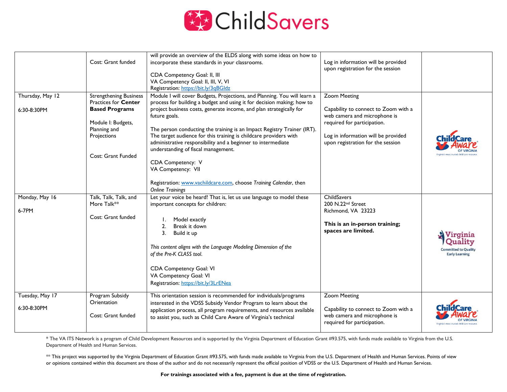

|                  |                               | will provide an overview of the ELDS along with some ideas on how to     |                                      |                       |
|------------------|-------------------------------|--------------------------------------------------------------------------|--------------------------------------|-----------------------|
|                  | Cost: Grant funded            | incorporate these standards in your classrooms.                          | Log in information will be provided  |                       |
|                  |                               |                                                                          | upon registration for the session    |                       |
|                  |                               | CDA Competency Goal: II, III                                             |                                      |                       |
|                  |                               | VA Competency Goal: II, III, V, VI                                       |                                      |                       |
|                  |                               | Registration: https://bit.ly/3qBGldz                                     |                                      |                       |
| Thursday, May 12 | <b>Strengthening Business</b> | Module I will cover Budgets, Projections, and Planning. You will learn a | Zoom Meeting                         |                       |
|                  | Practices for Center          | process for building a budget and using it for decision making; how to   |                                      |                       |
| 6:30-8:30PM      | <b>Based Programs</b>         | project business costs, generate income, and plan strategically for      | Capability to connect to Zoom with a |                       |
|                  |                               | future goals.                                                            | web camera and microphone is         |                       |
|                  | Module I: Budgets,            |                                                                          | required for participation.          |                       |
|                  | Planning and                  | The person conducting the training is an Impact Registry Trainer (IRT).  |                                      |                       |
|                  | Projections                   | The target audience for this training is childcare providers with        | Log in information will be provided  |                       |
|                  |                               | administrative responsibility and a beginner to intermediate             | upon registration for the session    |                       |
|                  |                               | understanding of fiscal management.                                      |                                      |                       |
|                  | Cost: Grant Funded            |                                                                          |                                      |                       |
|                  |                               | CDA Competency: V                                                        |                                      |                       |
|                  |                               | VA Competency: VII                                                       |                                      |                       |
|                  |                               |                                                                          |                                      |                       |
|                  |                               | Registration: www.vachildcare.com, choose Training Calendar, then        |                                      |                       |
|                  |                               | <b>Online Trainings</b>                                                  |                                      |                       |
| Monday, May 16   | Talk, Talk, Talk, and         | Let your voice be heard! That is, let us use language to model these     | ChildSavers                          |                       |
|                  | More Talk**                   | important concepts for children:                                         | 200 N.22nd Street                    |                       |
| 6-7PM            |                               |                                                                          | Richmond, VA 23223                   |                       |
|                  | Cost: Grant funded            | Model exactly                                                            |                                      |                       |
|                  |                               | Break it down<br>2.                                                      | This is an in-person training;       |                       |
|                  |                               | 3.<br>Build it up                                                        | spaces are limited.                  | Virginia              |
|                  |                               |                                                                          |                                      | Juality               |
|                  |                               | This content aligns with the Language Modeling Dimension of the          |                                      | Committed to Quality  |
|                  |                               | of the Pre-K CLASS tool.                                                 |                                      | <b>Early Learning</b> |
|                  |                               |                                                                          |                                      |                       |
|                  |                               | CDA Competency Goal: VI                                                  |                                      |                       |
|                  |                               | VA Competency Goal: VI                                                   |                                      |                       |
|                  |                               | Registration: https://bit.ly/3LrENea                                     |                                      |                       |
|                  |                               |                                                                          |                                      |                       |
| Tuesday, May 17  | Program Subsidy               | This orientation session is recommended for individuals/programs         | <b>Zoom Meeting</b>                  |                       |
|                  | Orientation                   | interested in the VDSS Subsidy Vendor Program to learn about the         |                                      |                       |
| 6:30-8:30PM      |                               | application process, all program requirements, and resources available   | Capability to connect to Zoom with a |                       |
|                  | Cost: Grant funded            | to assist you, such as Child Care Aware of Virginia's technical          | web camera and microphone is         |                       |
|                  |                               |                                                                          | required for participation.          |                       |
|                  |                               |                                                                          |                                      |                       |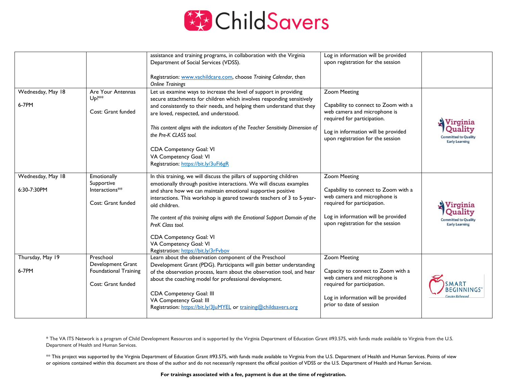

|                                  |                                                                                      | assistance and training programs, in collaboration with the Virginia<br>Department of Social Services (VDSS).<br>Registration: www.vachildcare.com, choose Training Calendar, then<br><b>Online Trainings</b>                                                                                                                                                                                                                                                                                          | Log in information will be provided<br>upon registration for the session                                                                                                                               |                                                                 |
|----------------------------------|--------------------------------------------------------------------------------------|--------------------------------------------------------------------------------------------------------------------------------------------------------------------------------------------------------------------------------------------------------------------------------------------------------------------------------------------------------------------------------------------------------------------------------------------------------------------------------------------------------|--------------------------------------------------------------------------------------------------------------------------------------------------------------------------------------------------------|-----------------------------------------------------------------|
| Wednesday, May 18<br>6-7PM       | Are Your Antennas<br>$Up$ <sup>**</sup><br>Cost: Grant funded                        | Let us examine ways to increase the level of support in providing<br>secure attachments for children which involves responding sensitively<br>and consistently to their needs, and helping them understand that they<br>are loved, respected, and understood.<br>This content aligns with the indicators of the Teacher Sensitivity Dimension of<br>the Pre-K CLASS tool.<br>CDA Competency Goal: VI<br>VA Competency Goal: VI<br>Registration: https://bit.ly/3uFi6gR                                 | <b>Zoom Meeting</b><br>Capability to connect to Zoom with a<br>web camera and microphone is<br>required for participation.<br>Log in information will be provided<br>upon registration for the session | Vırgınıa<br>ted to Oualit<br>Early Learning                     |
| Wednesday, May 18<br>6:30-7:30PM | Emotionally<br>Supportive<br>Interactions**<br>Cost: Grant funded                    | In this training, we will discuss the pillars of supporting children<br>emotionally through positive interactions. We will discuss examples<br>and share how we can maintain emotional supportive positive<br>interactions. This workshop is geared towards teachers of 3 to 5-year-<br>old children.<br>The content of this training aligns with the Emotional Support Domain of the<br>PreK Class tool.<br>CDA Competency Goal: VI<br>VA Competency Goal: VI<br>Registration: https://bit.ly/3rFvbov | <b>Zoom Meeting</b><br>Capability to connect to Zoom with a<br>web camera and microphone is<br>required for participation.<br>Log in information will be provided<br>upon registration for the session | Virginia<br><b>Committed to Qualit</b><br><b>Early Learning</b> |
| Thursday, May 19<br>6-7PM        | Preschool<br>Development Grant<br><b>Foundational Training</b><br>Cost: Grant funded | Learn about the observation component of the Preschool<br>Development Grant (PDG). Participants will gain better understanding<br>of the observation process, learn about the observation tool, and hear<br>about the coaching model for professional development.<br>CDA Competency Goal: III<br>VA Competency Goal: III<br>Registration: https://bit.ly/3 uMYEL or training@childsavers.org                                                                                                          | <b>Zoom Meeting</b><br>Capacity to connect to Zoom with a<br>web camera and microphone is<br>required for participation.<br>Log in information will be provided<br>prior to date of session            |                                                                 |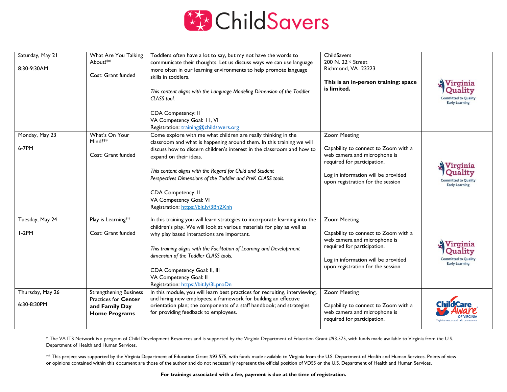

| Saturday, May 21<br>8:30-9:30AM | What Are You Talking<br>About?**<br>Cost: Grant funded                                                 | Toddlers often have a lot to say, but my not have the words to<br>communicate their thoughts. Let us discuss ways we can use language<br>more often in our learning environments to help promote language<br>skills in toddlers.<br>This content aligns with the Language Modeling Dimension of the Toddler<br>CLASS tool.<br>CDA Competency: II<br>VA Competency Goal: 11, VI<br>Registration: training@childsavers.org                                        | ChildSavers<br>200 N. 22 <sup>nd</sup> Street<br>Richmond, VA 23223<br>This is an in-person training: space<br>is limited.                                                                             | Virginia<br><b>Ouality</b><br><b>Committed to Quality</b><br><b>Early Learning</b> |
|---------------------------------|--------------------------------------------------------------------------------------------------------|-----------------------------------------------------------------------------------------------------------------------------------------------------------------------------------------------------------------------------------------------------------------------------------------------------------------------------------------------------------------------------------------------------------------------------------------------------------------|--------------------------------------------------------------------------------------------------------------------------------------------------------------------------------------------------------|------------------------------------------------------------------------------------|
| Monday, May 23<br>6-7PM         | What's On Your<br>Mind?**<br>Cost: Grant funded                                                        | Come explore with me what children are really thinking in the<br>classroom and what is happening around them. In this training we will<br>discuss how to discern children's interest in the classroom and how to<br>expand on their ideas.<br>This content aligns with the Regard for Child and Student<br>Perspectives Dimensions of the Toddler and PreK CLASS tools.<br>CDA Competency: II<br>VA Competency Goal: VI<br>Registration: https://bit.ly/3Bh2Xnh | <b>Zoom Meeting</b><br>Capability to connect to Zoom with a<br>web camera and microphone is<br>required for participation.<br>Log in information will be provided<br>upon registration for the session | Virginia<br>Quality<br><b>Committed to Quality</b><br><b>Early Learning</b>        |
| Tuesday, May 24<br>$1-2PM$      | Play is Learning**<br>Cost: Grant funded                                                               | In this training you will learn strategies to incorporate learning into the<br>children's play. We will look at various materials for play as well as<br>why play based interactions are important.<br>This training aligns with the Facilitation of Learning and Development<br>dimension of the Toddler CLASS tools.<br>CDA Competency Goal: II, III<br>VA Competency Goal: II<br>Registration: https://bit.ly/3LproDn                                        | <b>Zoom Meeting</b><br>Capability to connect to Zoom with a<br>web camera and microphone is<br>required for participation.<br>Log in information will be provided<br>upon registration for the session | mitted to Quality<br><b>Early Learning</b>                                         |
| Thursday, May 26<br>6:30-8:30PM | <b>Strengthening Business</b><br><b>Practices for Center</b><br>and Family Day<br><b>Home Programs</b> | In this module, you will learn best practices for recruiting, interviewing,<br>and hiring new employees; a framework for building an effective<br>orientation plan; the components of a staff handbook; and strategies<br>for providing feedback to employees.                                                                                                                                                                                                  | <b>Zoom Meeting</b><br>Capability to connect to Zoom with a<br>web camera and microphone is<br>required for participation.                                                                             |                                                                                    |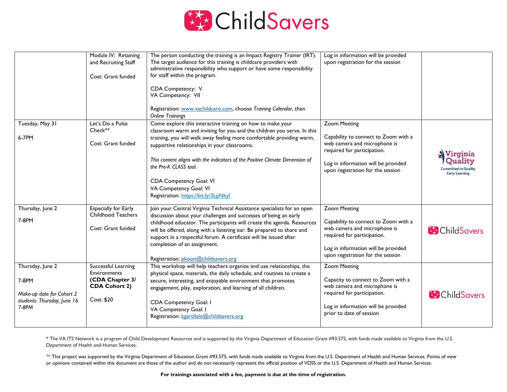

|                                        | Module IV: Retaining<br>and Recruiting Staff<br>Cost: Grant funded | The person conducting the training is an Impact Registry Trainer (IRT).<br>The target audience for this training is childcare providers with<br>administrative responsibility who support or have some responsibility<br>for staff within the program.<br>CDA Competency: V<br>VA Competency: VII<br>Registration: www.vachildcare.com, choose Training Calendar, then<br><b>Online Trainings</b> | Log in information will be provided<br>upon registration for the session                            |                                  |
|----------------------------------------|--------------------------------------------------------------------|---------------------------------------------------------------------------------------------------------------------------------------------------------------------------------------------------------------------------------------------------------------------------------------------------------------------------------------------------------------------------------------------------|-----------------------------------------------------------------------------------------------------|----------------------------------|
| Tuesday, May 31                        | Let's Do a Pulse                                                   | Come explore this interactive training on how to make your                                                                                                                                                                                                                                                                                                                                        | <b>Zoom Meeting</b>                                                                                 |                                  |
|                                        | Check**                                                            | classroom warm and inviting for you and the children you serve. In this                                                                                                                                                                                                                                                                                                                           |                                                                                                     |                                  |
| 6-7PM                                  | Cost: Grant funded                                                 | training, you will walk away feeling more comfortable providing warm,<br>supportive relationships in your classrooms.                                                                                                                                                                                                                                                                             | Capability to connect to Zoom with a<br>web camera and microphone is<br>required for participation. | Virginia                         |
|                                        |                                                                    | This content aligns with the indicators of the Positive Climate Dimension of<br>the Pre-K CLASS tool.                                                                                                                                                                                                                                                                                             | Log in information will be provided<br>upon registration for the session                            | Quality<br><b>Early Learning</b> |
|                                        |                                                                    | CDA Competency Goal: VI                                                                                                                                                                                                                                                                                                                                                                           |                                                                                                     |                                  |
|                                        |                                                                    | VA Competency Goal: VI                                                                                                                                                                                                                                                                                                                                                                            |                                                                                                     |                                  |
|                                        |                                                                    | Registration: https://bit.ly/3LpNkyl                                                                                                                                                                                                                                                                                                                                                              |                                                                                                     |                                  |
| Thursday, June 2                       | <b>Especially for Early</b>                                        | Join your Central Virginia Technical Assistance specialists for an open                                                                                                                                                                                                                                                                                                                           | <b>Zoom Meeting</b>                                                                                 |                                  |
| 7-8PM                                  | <b>Childhood Teachers</b>                                          | discussion about your challenges and successes of being an early                                                                                                                                                                                                                                                                                                                                  | Capability to connect to Zoom with a                                                                |                                  |
|                                        | Cost: Grant funded                                                 | childhood educator. The participants will create the agenda. Resources<br>will be offered, along with a listening ear. Be prepared to share and                                                                                                                                                                                                                                                   | web camera and microphone is                                                                        | <b>B</b> Child Savers            |
|                                        |                                                                    | support in a respectful forum. A certificate will be issued after                                                                                                                                                                                                                                                                                                                                 | required for participation.                                                                         |                                  |
|                                        |                                                                    | completion of an assignment.                                                                                                                                                                                                                                                                                                                                                                      | Log in information will be provided                                                                 |                                  |
|                                        |                                                                    | Registration: pkoon@childsavers.org                                                                                                                                                                                                                                                                                                                                                               | upon registration for the session                                                                   |                                  |
| Thursday, June 2                       | Successful Learning                                                | This workshop will help teachers organize and use relationships, the                                                                                                                                                                                                                                                                                                                              | <b>Zoom Meeting</b>                                                                                 |                                  |
| 7-8PM                                  | <b>Environments</b><br>(CDA Chapter 3/                             | physical space, materials, the daily schedule, and routines to create a<br>secure, interesting, and enjoyable environment that promotes                                                                                                                                                                                                                                                           | Capacity to connect to Zoom with a                                                                  |                                  |
|                                        | <b>CDA Cohort 2)</b>                                               | engagement, play, exploration, and learning of all children.                                                                                                                                                                                                                                                                                                                                      | web camera and microphone is                                                                        |                                  |
| Make-up date for Cohort 2              |                                                                    |                                                                                                                                                                                                                                                                                                                                                                                                   | required for participation.                                                                         | <b>B</b> Child Savers            |
| students: Thursday, June 16<br>$7-8PM$ | Cost: \$20                                                         | CDA Competency Goal: I                                                                                                                                                                                                                                                                                                                                                                            | Log in information will be provided                                                                 |                                  |
|                                        |                                                                    | VA Competency Goal: I<br>Registration: kgarofalo@childsavers.org                                                                                                                                                                                                                                                                                                                                  | prior to date of session                                                                            |                                  |
|                                        |                                                                    |                                                                                                                                                                                                                                                                                                                                                                                                   |                                                                                                     |                                  |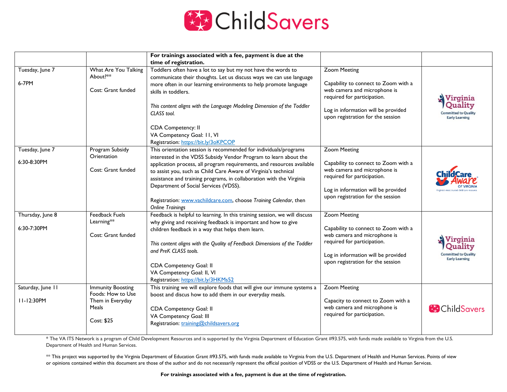

|                                 |                                                                                          | For trainings associated with a fee, payment is due at the<br>time of registration.                                                                                                                                                                                                                                                                                                                                                                                                                |                                                                                                                                                                                                        |                                                                             |
|---------------------------------|------------------------------------------------------------------------------------------|----------------------------------------------------------------------------------------------------------------------------------------------------------------------------------------------------------------------------------------------------------------------------------------------------------------------------------------------------------------------------------------------------------------------------------------------------------------------------------------------------|--------------------------------------------------------------------------------------------------------------------------------------------------------------------------------------------------------|-----------------------------------------------------------------------------|
| Tuesday, June 7<br>6-7PM        | What Are You Talking<br>About?**<br>Cost: Grant funded                                   | Toddlers often have a lot to say but my not have the words to<br>communicate their thoughts. Let us discuss ways we can use language<br>more often in our learning environments to help promote language<br>skills in toddlers.<br>This content aligns with the Language Modeling Dimension of the Toddler<br>CLASS tool.<br>CDA Competency: II<br>VA Competency Goal: II, VI<br>Registration: https://bit.ly/3oKPCOP                                                                              | <b>Zoom Meeting</b><br>Capability to connect to Zoom with a<br>web camera and microphone is<br>required for participation.<br>Log in information will be provided<br>upon registration for the session | Virginia<br>Ouality<br><b>Committed to Quality</b><br><b>Early Learning</b> |
| Tuesday, June 7<br>6:30-8:30PM  | Program Subsidy<br>Orientation<br>Cost: Grant funded                                     | This orientation session is recommended for individuals/programs<br>interested in the VDSS Subsidy Vendor Program to learn about the<br>application process, all program requirements, and resources available<br>to assist you, such as Child Care Aware of Virginia's technical<br>assistance and training programs, in collaboration with the Virginia<br>Department of Social Services (VDSS).<br>Registration: www.vachildcare.com, choose Training Calendar, then<br><b>Online Trainings</b> | <b>Zoom Meeting</b><br>Capability to connect to Zoom with a<br>web camera and microphone is<br>required for participation.<br>Log in information will be provided<br>upon registration for the session |                                                                             |
| Thursday, June 8<br>6:30-7:30PM | <b>Feedback Fuels</b><br>Learning**<br>Cost: Grant funded                                | Feedback is helpful to learning. In this training session, we will discuss<br>why giving and receiving feedback is important and how to give<br>children feedback in a way that helps them learn.<br>This content aligns with the Quality of Feedback Dimensions of the Toddler<br>and PreK CLASS tools.<br>CDA Competency Goal: II<br>VA Competency Goal: II, VI<br>Registration: https://bit.ly/3HKMs52                                                                                          | <b>Zoom Meeting</b><br>Capability to connect to Zoom with a<br>web camera and microphone is<br>required for participation.<br>Log in information will be provided<br>upon registration for the session | Virginia<br>nitted to Qualit<br><b>Early Learning</b>                       |
| Saturday, June 11<br>11-12:30PM | <b>Immunity Boosting</b><br>Foods: How to Use<br>Them in Everyday<br>Meals<br>Cost: \$25 | This training we will explore foods that will give our immune systems a<br>boost and discus how to add them in our everyday meals.<br>CDA Competency Goal: II<br>VA Competency Goal: III<br>Registration: training@childsavers.org                                                                                                                                                                                                                                                                 | <b>Zoom Meeting</b><br>Capacity to connect to Zoom with a<br>web camera and microphone is<br>required for participation.                                                                               | <b>ChildSavers</b>                                                          |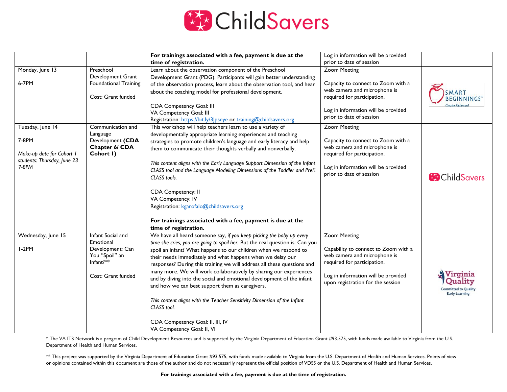

|                             |                                | For trainings associated with a fee, payment is due at the                                                                                        | Log in information will be provided                                |                             |
|-----------------------------|--------------------------------|---------------------------------------------------------------------------------------------------------------------------------------------------|--------------------------------------------------------------------|-----------------------------|
|                             |                                | time of registration.                                                                                                                             | prior to date of session                                           |                             |
| Monday, June 13             | Preschool                      | Learn about the observation component of the Preschool                                                                                            | <b>Zoom Meeting</b>                                                |                             |
|                             | Development Grant              | Development Grant (PDG). Participants will gain better understanding                                                                              |                                                                    |                             |
| 6-7PM                       | <b>Foundational Training</b>   | of the observation process, learn about the observation tool, and hear                                                                            | Capacity to connect to Zoom with a<br>web camera and microphone is |                             |
|                             | Cost: Grant funded             | about the coaching model for professional development.                                                                                            | required for participation.                                        | MART                        |
|                             |                                |                                                                                                                                                   |                                                                    | EGINNINGS                   |
|                             |                                | CDA Competency Goal: III<br>VA Competency Goal: III                                                                                               | Log in information will be provided                                |                             |
|                             |                                | Registration: https://bit.ly/3 pseye or training@childsavers.org                                                                                  | prior to date of session                                           |                             |
| Tuesday, June 14            | Communication and              | This workshop will help teachers learn to use a variety of                                                                                        | <b>Zoom Meeting</b>                                                |                             |
|                             | Language                       | developmentally appropriate learning experiences and teaching                                                                                     |                                                                    |                             |
| 7-8PM                       | Development (CDA               | strategies to promote children's language and early literacy and help                                                                             | Capacity to connect to Zoom with a                                 |                             |
| Make-up date for Cohort I   | Chapter 6/ CDA<br>Cohort I)    | them to communicate their thoughts verbally and nonverbally.                                                                                      | web camera and microphone is                                       |                             |
| students: Thursday, June 23 |                                |                                                                                                                                                   | required for participation.                                        |                             |
| $7-8PM$                     |                                | This content aligns with the Early Language Support Dimension of the Infant                                                                       | Log in information will be provided                                |                             |
|                             |                                | CLASS tool and the Language Modeling Dimensions of the Toddler and PreK<br>CLASS tools.                                                           | prior to date of session                                           | <b>ChildSavers</b>          |
|                             |                                |                                                                                                                                                   |                                                                    |                             |
|                             |                                | CDA Competency: II                                                                                                                                |                                                                    |                             |
|                             |                                | VA Competency: IV                                                                                                                                 |                                                                    |                             |
|                             |                                | Registration: kgarofalo@childsavers.org                                                                                                           |                                                                    |                             |
|                             |                                |                                                                                                                                                   |                                                                    |                             |
|                             |                                | For trainings associated with a fee, payment is due at the                                                                                        |                                                                    |                             |
|                             |                                | time of registration.                                                                                                                             |                                                                    |                             |
| Wednesday, June 15          | Infant Social and<br>Emotional | We have all heard someone say, if you keep picking the baby up every                                                                              | <b>Zoom Meeting</b>                                                |                             |
| $I-2PM$                     | Development: Can               | time she cries, you are going to spoil her. But the real question is: Can you<br>spoil an infant? What happens to our children when we respond to | Capability to connect to Zoom with a                               |                             |
|                             | You "Spoil" an                 | their needs immediately and what happens when we delay our                                                                                        | web camera and microphone is                                       |                             |
| Infant?**                   |                                | responses? During this training we will address all these questions and                                                                           | required for participation.                                        |                             |
|                             |                                | many more. We will work collaboratively by sharing our experiences                                                                                |                                                                    |                             |
|                             | Cost: Grant funded             | and by diving into the social and emotional development of the infant                                                                             | Log in information will be provided                                | Virginia<br>Quality         |
|                             |                                | and how we can best support them as caregivers.                                                                                                   | upon registration for the session                                  | <b>Committed to Quality</b> |
|                             |                                |                                                                                                                                                   |                                                                    | <b>Early Learning</b>       |
|                             |                                | This content aligns with the Teacher Sensitivity Dimension of the Infant                                                                          |                                                                    |                             |
|                             |                                | CLASS tool.                                                                                                                                       |                                                                    |                             |
|                             |                                | CDA Competency Goal: II, III, IV                                                                                                                  |                                                                    |                             |
|                             |                                | VA Competency Goal: II, VI                                                                                                                        |                                                                    |                             |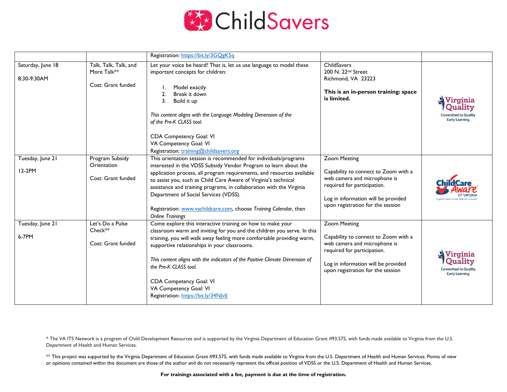

|                                  |                                                            | Registration: https://bit.ly/3GOgK5q                                                                                                                                                                                                                                                                                                                                                                                                                                                               |                                                                                                                                                                                                        |                                                                             |
|----------------------------------|------------------------------------------------------------|----------------------------------------------------------------------------------------------------------------------------------------------------------------------------------------------------------------------------------------------------------------------------------------------------------------------------------------------------------------------------------------------------------------------------------------------------------------------------------------------------|--------------------------------------------------------------------------------------------------------------------------------------------------------------------------------------------------------|-----------------------------------------------------------------------------|
| Saturday, June 18<br>8:30-9:30AM | Talk, Talk, Talk, and<br>More Talk**<br>Cost: Grant funded | Let your voice be heard! That is, let us use language to model these<br>important concepts for children:<br>Model exactly<br>Break it down<br>2.<br>3.<br>Build it up<br>This content aligns with the Language Modeling Dimension of the<br>of the Pre-K CLASS tool.<br>CDA Competency Goal: VI<br>VA Competency Goal: VI<br>Registration: training@childsavers.org                                                                                                                                | ChildSavers<br>200 N. 22 <sup>nd</sup> Street<br>Richmond, VA 23223<br>This is an in-person training: space<br>is limited.                                                                             | Virginia<br>Juality<br><b>Committed to Quality</b><br><b>Early Learning</b> |
| Tuesday, June 21<br>12-2PM       | Program Subsidy<br>Orientation<br>Cost: Grant funded       | This orientation session is recommended for individuals/programs<br>interested in the VDSS Subsidy Vendor Program to learn about the<br>application process, all program requirements, and resources available<br>to assist you, such as Child Care Aware of Virginia's technical<br>assistance and training programs, in collaboration with the Virginia<br>Department of Social Services (VDSS).<br>Registration: www.vachildcare.com, choose Training Calendar, then<br><b>Online Trainings</b> | <b>Zoom Meeting</b><br>Capability to connect to Zoom with a<br>web camera and microphone is<br>required for participation.<br>Log in information will be provided<br>upon registration for the session |                                                                             |
| Tuesday, June 21<br>6-7PM        | Let's Do a Pulse<br>Check**<br>Cost: Grant funded          | Come explore this interactive training on how to make your<br>classroom warm and inviting for you and the children you serve. In this<br>training, you will walk away feeling more comfortable providing warm,<br>supportive relationships in your classrooms.<br>This content aligns with the indicators of the Positive Climate Dimension of<br>the Pre-K CLASS tool.<br>CDA Competency Goal: VI<br>VA Competency Goal: VI<br>Registration: https://bit.ly/34N vll                               | <b>Zoom Meeting</b><br>Capability to connect to Zoom with a<br>web camera and microphone is<br>required for participation.<br>Log in information will be provided<br>upon registration for the session | Virginia<br>Juality<br><b>Committed to Quality</b><br><b>Early Learning</b> |